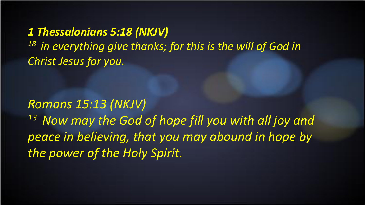*1 Thessalonians 5:18 (NKJV)*  <sup>18</sup> in everything give thanks; for this is the will of God in *Christ Jesus for you.* 

*Romans 15:13 (NKJV) 13 Now may the God of hope fill you with all joy and peace in believing, that you may abound in hope by the power of the Holy Spirit.*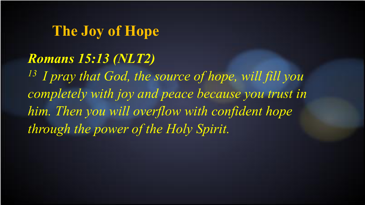## **The Joy of Hope**

#### *Romans 15:13 (NLT2)*

*13 I pray that God, the source of hope, will fill you completely with joy and peace because you trust in him. Then you will overflow with confident hope through the power of the Holy Spirit.*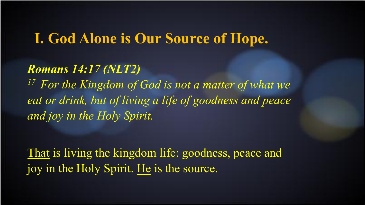### **I. God Alone is Our Source of Hope.**

#### *Romans 14:17 (NLT2)*

*17 For the Kingdom of God is not a matter of what we eat or drink, but of living a life of goodness and peace and joy in the Holy Spirit.* 

That is living the kingdom life: goodness, peace and joy in the Holy Spirit. He is the source.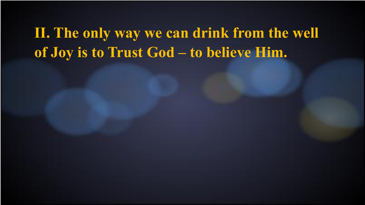**II. The only way we can drink from the well of Joy is to Trust God – to believe Him.**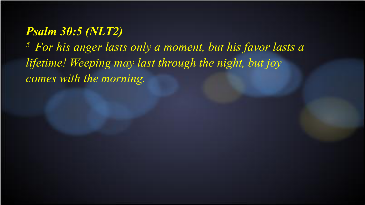#### *Psalm 30:5 (NLT2)*

*5 For his anger lasts only a moment, but his favor lasts a lifetime! Weeping may last through the night, but joy comes with the morning.*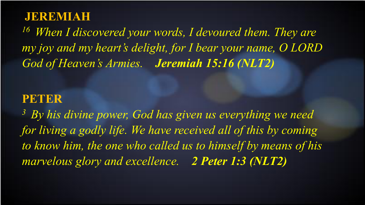#### **JEREMIAH**

*16 When I discovered your words, I devoured them. They are my joy and my heart's delight, for I bear your name, O LORD God of Heaven's Armies. Jeremiah 15:16 (NLT2)* 

#### **PETER**

*3 By his divine power, God has given us everything we need*  for living a godly life. We have received all of this by coming *to know him, the one who called us to himself by means of his marvelous glory and excellence. 2 Peter 1:3 (NLT2)*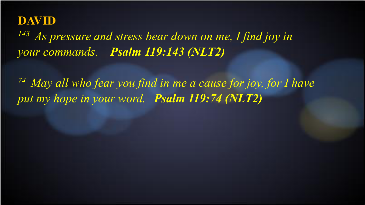#### **DAVID**

*143 As pressure and stress bear down on me, I find joy in your commands. Psalm 119:143 (NLT2)* 

*74 May all who fear you find in me a cause for joy, for I have put my hope in your word. Psalm 119:74 (NLT2)*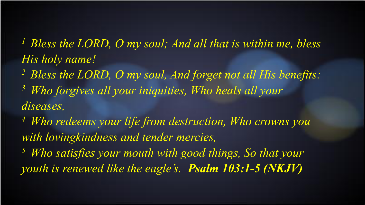*1 Bless the LORD, O my soul; And all that is within me, bless His holy name!* 

- *2 Bless the LORD, O my soul, And forget not all His benefits:*
- *3 Who forgives all your iniquities, Who heals all your diseases,*
- *4 Who redeems your life from destruction, Who crowns you with lovingkindness and tender mercies,*
- *5 Who satisfies your mouth with good things, So that your youth is renewed like the eagle's. Psalm 103:1-5 (NKJV)*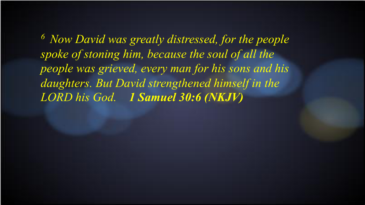*6 Now David was greatly distressed, for the people spoke of stoning him, because the soul of all the people was grieved, every man for his sons and his daughters. But David strengthened himself in the LORD his God. 1 Samuel 30:6 (NKJV)*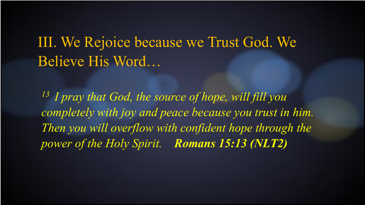# III. We Rejoice because we Trust God. We Believe His Word…

*13 I pray that God, the source of hope, will fill you completely with joy and peace because you trust in him. Then you will overflow with confident hope through the power of the Holy Spirit. Romans 15:13 (NLT2)*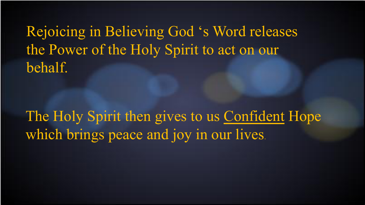Rejoicing in Believing God 's Word releases the Power of the Holy Spirit to act on our behalf.

The Holy Spirit then gives to us Confident Hope which brings peace and joy in our lives.